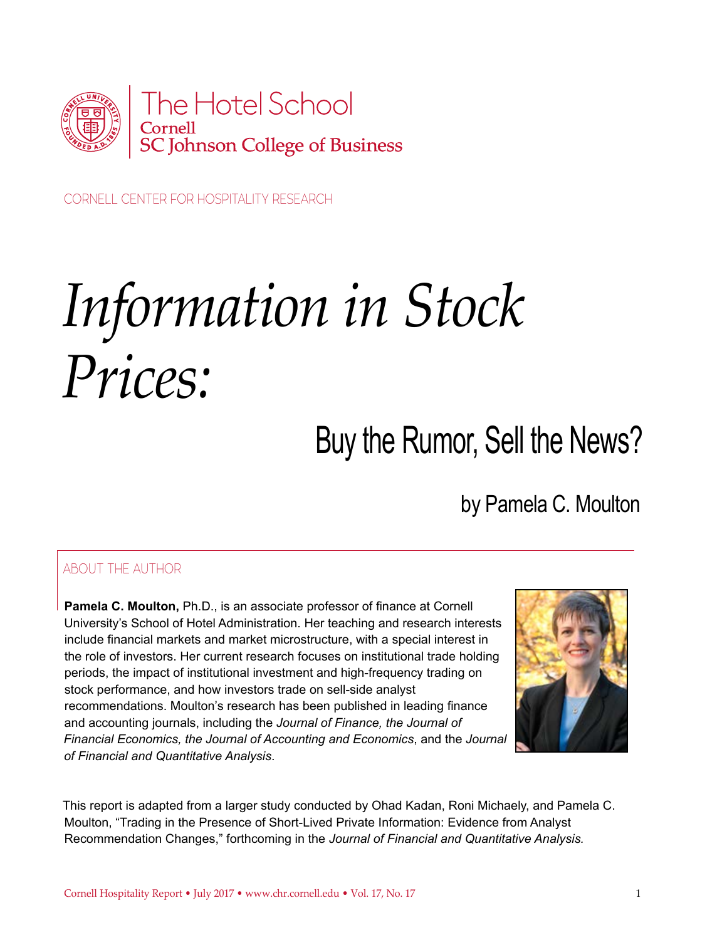

CORNELL CENTER FOR HOSPITALITY RESEARCH

# *Information in Stock Prices:*

# Buy the Rumor, Sell the News?

by Pamela C. Moulton

#### ABOUT THE AUTHOR

**Pamela C. Moulton,** Ph.D., is an associate professor of finance at Cornell University's School of Hotel Administration. Her teaching and research interests include financial markets and market microstructure, with a special interest in the role of investors. Her current research focuses on institutional trade holding periods, the impact of institutional investment and high-frequency trading on stock performance, and how investors trade on sell-side analyst recommendations. Moulton's research has been published in leading finance and accounting journals, including the *Journal of Finance, the Journal of Financial Economics, the Journal of Accounting and Economics*, and the *Journal of Financial and Quantitative Analysis*.



This report is adapted from a larger study conducted by Ohad Kadan, Roni Michaely, and Pamela C. Moulton, "Trading in the Presence of Short-Lived Private Information: Evidence from Analyst Recommendation Changes," forthcoming in the *Journal of Financial and Quantitative Analysis.*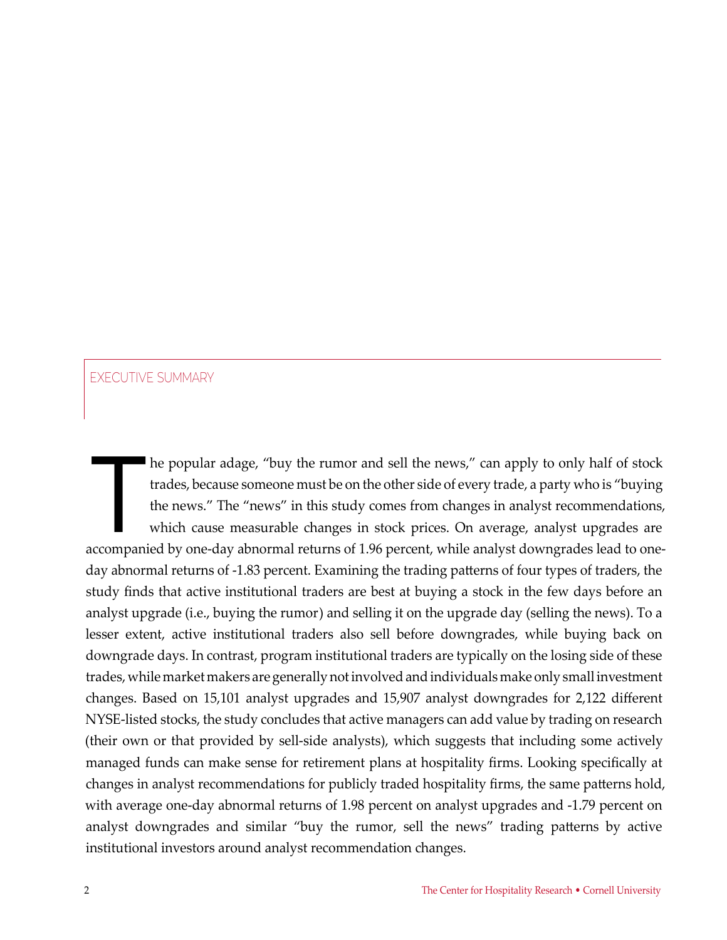#### EXECUTIVE SUMMARY

The popular adage, "buy the rumor and sell the news," can apply to only half of stock<br>trades, because someone must be on the other side of every trade, a party who is "buying<br>the news." The "news" in this study comes from trades, because someone must be on the other side of every trade, a party who is "buying the news." The "news" in this study comes from changes in analyst recommendations, which cause measurable changes in stock prices. On average, analyst upgrades are accompanied by one-day abnormal returns of 1.96 percent, while analyst downgrades lead to oneday abnormal returns of -1.83 percent. Examining the trading patterns of four types of traders, the study finds that active institutional traders are best at buying a stock in the few days before an analyst upgrade (i.e., buying the rumor) and selling it on the upgrade day (selling the news). To a lesser extent, active institutional traders also sell before downgrades, while buying back on downgrade days. In contrast, program institutional traders are typically on the losing side of these trades, while market makers are generally not involved and individuals make only small investment changes. Based on 15,101 analyst upgrades and 15,907 analyst downgrades for 2,122 different NYSE-listed stocks, the study concludes that active managers can add value by trading on research (their own or that provided by sell-side analysts), which suggests that including some actively managed funds can make sense for retirement plans at hospitality firms. Looking specifically at changes in analyst recommendations for publicly traded hospitality firms, the same patterns hold, with average one-day abnormal returns of 1.98 percent on analyst upgrades and -1.79 percent on analyst downgrades and similar "buy the rumor, sell the news" trading patterns by active institutional investors around analyst recommendation changes.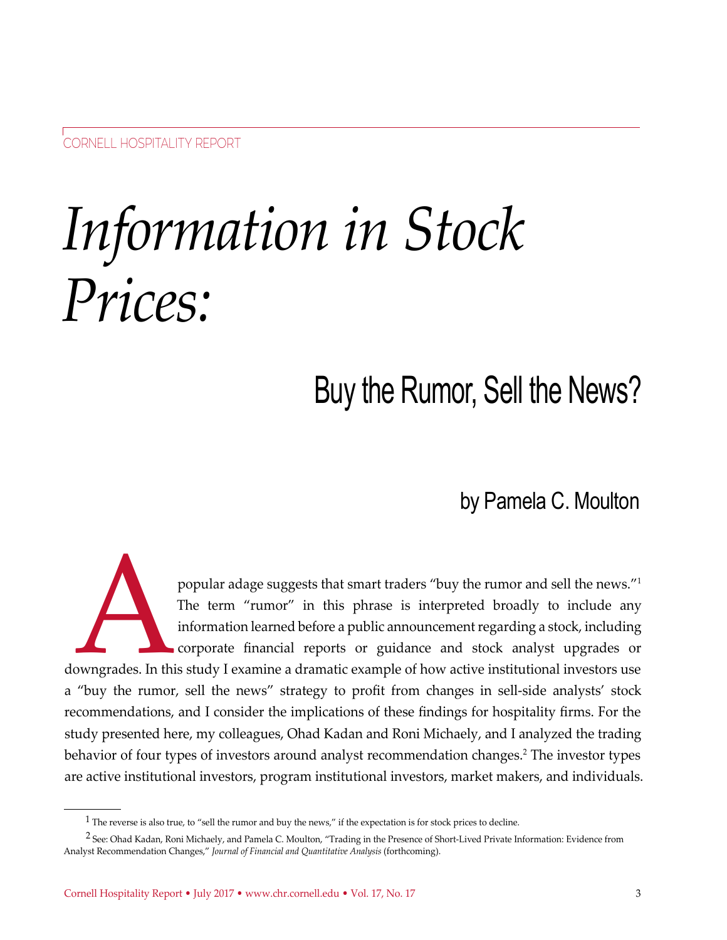# *Information in Stock Prices:*

## Buy the Rumor, Sell the News?

by Pamela C. Moulton

popular adage suggests that smart traders "buy the rumor and sell the news."<sup>1</sup><br>The term "rumor" in this phrase is interpreted broadly to include any<br>information learned before a public announcement regarding a stock, incl The term "rumor" in this phrase is interpreted broadly to include any information learned before a public announcement regarding a stock, including corporate financial reports or guidance and stock analyst upgrades or downgrades. In this study I examine a dramatic example of how active institutional investors use a "buy the rumor, sell the news" strategy to profit from changes in sell-side analysts' stock recommendations, and I consider the implications of these findings for hospitality firms. For the study presented here, my colleagues, Ohad Kadan and Roni Michaely, and I analyzed the trading behavior of four types of investors around analyst recommendation changes.<sup>2</sup> The investor types are active institutional investors, program institutional investors, market makers, and individuals.

<sup>&</sup>lt;sup>1</sup> The reverse is also true, to "sell the rumor and buy the news," if the expectation is for stock prices to decline.

<sup>&</sup>lt;sup>2</sup> See: Ohad Kadan, Roni Michaely, and Pamela C. Moulton, "Trading in the Presence of Short-Lived Private Information: Evidence from Analyst Recommendation Changes," *Journal of Financial and Quantitative Analysis* (forthcoming).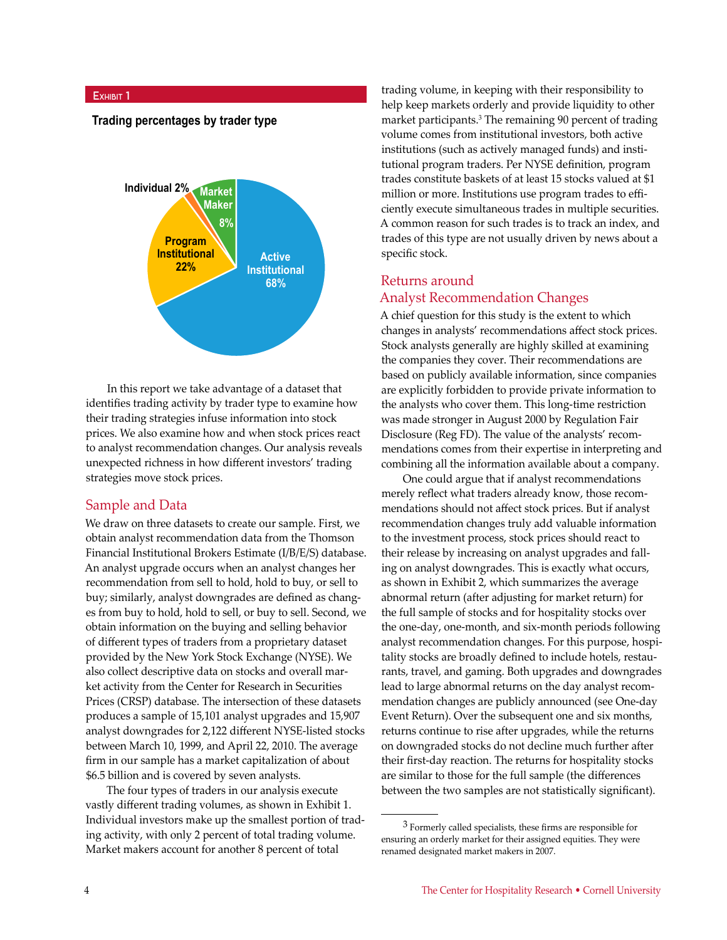#### **Exhibit 1**

#### **Trading percentages by trader type**



In this report we take advantage of a dataset that identifies trading activity by trader type to examine how their trading strategies infuse information into stock prices. We also examine how and when stock prices react to analyst recommendation changes. Our analysis reveals unexpected richness in how different investors' trading strategies move stock prices.

#### Sample and Data

We draw on three datasets to create our sample. First, we obtain analyst recommendation data from the Thomson Financial Institutional Brokers Estimate (I/B/E/S) database. An analyst upgrade occurs when an analyst changes her recommendation from sell to hold, hold to buy, or sell to buy; similarly, analyst downgrades are defined as changes from buy to hold, hold to sell, or buy to sell. Second, we obtain information on the buying and selling behavior of different types of traders from a proprietary dataset provided by the New York Stock Exchange (NYSE). We also collect descriptive data on stocks and overall market activity from the Center for Research in Securities Prices (CRSP) database. The intersection of these datasets produces a sample of 15,101 analyst upgrades and 15,907 analyst downgrades for 2,122 different NYSE-listed stocks between March 10, 1999, and April 22, 2010. The average firm in our sample has a market capitalization of about \$6.5 billion and is covered by seven analysts.

The four types of traders in our analysis execute vastly different trading volumes, as shown in Exhibit 1. Individual investors make up the smallest portion of trading activity, with only 2 percent of total trading volume. Market makers account for another 8 percent of total

trading volume, in keeping with their responsibility to help keep markets orderly and provide liquidity to other market participants.<sup>3</sup> The remaining 90 percent of trading volume comes from institutional investors, both active institutions (such as actively managed funds) and institutional program traders. Per NYSE definition, program trades constitute baskets of at least 15 stocks valued at \$1 million or more. Institutions use program trades to efficiently execute simultaneous trades in multiple securities. A common reason for such trades is to track an index, and trades of this type are not usually driven by news about a specific stock.

#### Returns around Analyst Recommendation Changes

A chief question for this study is the extent to which changes in analysts' recommendations affect stock prices. Stock analysts generally are highly skilled at examining the companies they cover. Their recommendations are based on publicly available information, since companies are explicitly forbidden to provide private information to the analysts who cover them. This long-time restriction was made stronger in August 2000 by Regulation Fair Disclosure (Reg FD). The value of the analysts' recommendations comes from their expertise in interpreting and combining all the information available about a company.

One could argue that if analyst recommendations merely reflect what traders already know, those recommendations should not affect stock prices. But if analyst recommendation changes truly add valuable information to the investment process, stock prices should react to their release by increasing on analyst upgrades and falling on analyst downgrades. This is exactly what occurs, as shown in Exhibit 2, which summarizes the average abnormal return (after adjusting for market return) for the full sample of stocks and for hospitality stocks over the one-day, one-month, and six-month periods following analyst recommendation changes. For this purpose, hospitality stocks are broadly defined to include hotels, restaurants, travel, and gaming. Both upgrades and downgrades lead to large abnormal returns on the day analyst recommendation changes are publicly announced (see One-day Event Return). Over the subsequent one and six months, returns continue to rise after upgrades, while the returns on downgraded stocks do not decline much further after their first-day reaction. The returns for hospitality stocks are similar to those for the full sample (the differences between the two samples are not statistically significant).

<sup>3</sup> Formerly called specialists, these firms are responsible for ensuring an orderly market for their assigned equities. They were renamed designated market makers in 2007.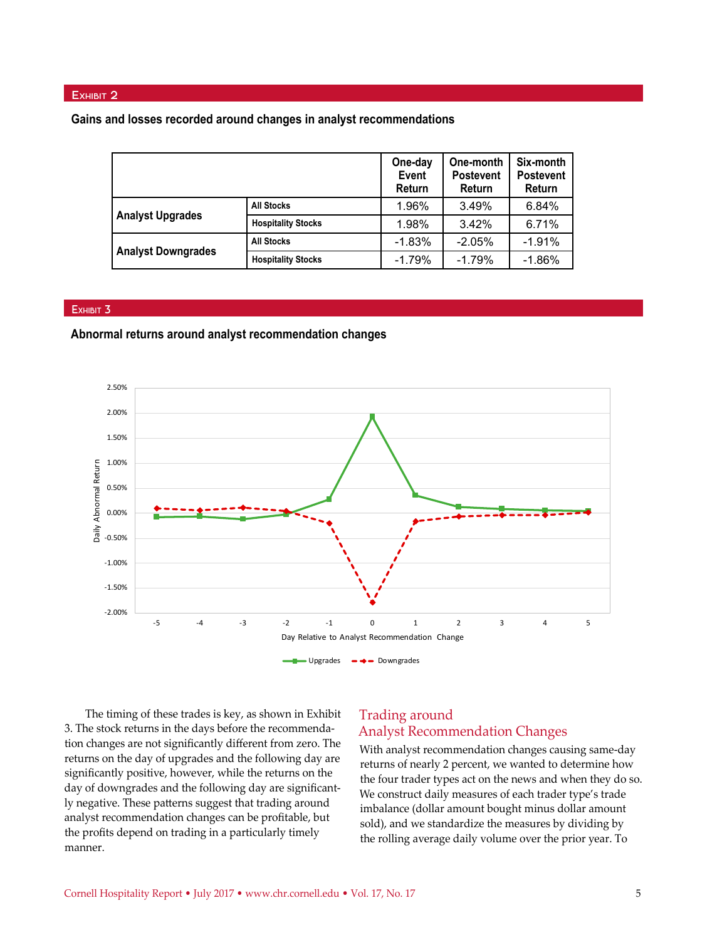#### EXHIBIT 2

#### **Gains and losses recorded around changes in analyst recommendations**

|                           |                           | One-day<br>Event<br>Return | One-month<br><b>Postevent</b><br>Return | Six-month<br><b>Postevent</b><br>Return |
|---------------------------|---------------------------|----------------------------|-----------------------------------------|-----------------------------------------|
| <b>Analyst Upgrades</b>   | <b>All Stocks</b>         | 1.96%                      | 3.49%                                   | 6.84%                                   |
|                           | <b>Hospitality Stocks</b> | 1.98%                      | 3.42%                                   | 6.71%                                   |
| <b>Analyst Downgrades</b> | <b>All Stocks</b>         | $-1.83%$                   | $-2.05%$                                | $-1.91%$                                |
|                           | <b>Hospitality Stocks</b> | $-1.79%$                   | $-1.79%$                                | $-1.86%$                                |

#### **Exhibit 3**

#### **Abnormal returns around analyst recommendation changes**



The timing of these trades is key, as shown in Exhibit 3. The stock returns in the days before the recommendation changes are not significantly different from zero. The returns on the day of upgrades and the following day are significantly positive, however, while the returns on the day of downgrades and the following day are significantly negative. These patterns suggest that trading around analyst recommendation changes can be profitable, but the profits depend on trading in a particularly timely manner.

#### Trading around Analyst Recommendation Changes

With analyst recommendation changes causing same-day returns of nearly 2 percent, we wanted to determine how the four trader types act on the news and when they do so. We construct daily measures of each trader type's trade imbalance (dollar amount bought minus dollar amount sold), and we standardize the measures by dividing by the rolling average daily volume over the prior year. To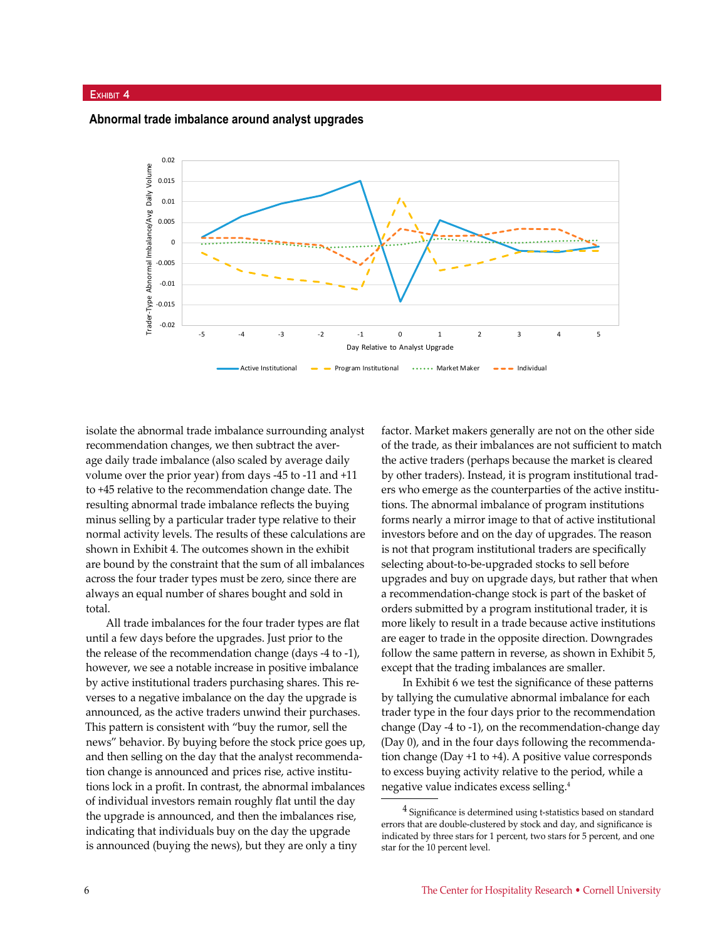#### **Exhibit 4**

**Abnormal trade imbalance around analyst upgrades**



isolate the abnormal trade imbalance surrounding analyst recommendation changes, we then subtract the average daily trade imbalance (also scaled by average daily volume over the prior year) from days -45 to -11 and +11 to +45 relative to the recommendation change date. The resulting abnormal trade imbalance reflects the buying minus selling by a particular trader type relative to their normal activity levels. The results of these calculations are shown in Exhibit 4. The outcomes shown in the exhibit are bound by the constraint that the sum of all imbalances across the four trader types must be zero, since there are always an equal number of shares bought and sold in total.

All trade imbalances for the four trader types are flat until a few days before the upgrades. Just prior to the the release of the recommendation change (days -4 to -1), however, we see a notable increase in positive imbalance by active institutional traders purchasing shares. This reverses to a negative imbalance on the day the upgrade is announced, as the active traders unwind their purchases. This pattern is consistent with "buy the rumor, sell the news" behavior. By buying before the stock price goes up, and then selling on the day that the analyst recommendation change is announced and prices rise, active institutions lock in a profit. In contrast, the abnormal imbalances of individual investors remain roughly flat until the day the upgrade is announced, and then the imbalances rise, indicating that individuals buy on the day the upgrade is announced (buying the news), but they are only a tiny

factor. Market makers generally are not on the other side of the trade, as their imbalances are not sufficient to match the active traders (perhaps because the market is cleared by other traders). Instead, it is program institutional traders who emerge as the counterparties of the active institutions. The abnormal imbalance of program institutions forms nearly a mirror image to that of active institutional investors before and on the day of upgrades. The reason is not that program institutional traders are specifically selecting about-to-be-upgraded stocks to sell before upgrades and buy on upgrade days, but rather that when a recommendation-change stock is part of the basket of orders submitted by a program institutional trader, it is more likely to result in a trade because active institutions are eager to trade in the opposite direction. Downgrades follow the same pattern in reverse, as shown in Exhibit 5, except that the trading imbalances are smaller.

In Exhibit 6 we test the significance of these patterns by tallying the cumulative abnormal imbalance for each trader type in the four days prior to the recommendation change (Day -4 to -1), on the recommendation-change day (Day 0), and in the four days following the recommendation change (Day +1 to +4). A positive value corresponds to excess buying activity relative to the period, while a negative value indicates excess selling.4

<sup>4</sup> Significance is determined using t-statistics based on standard errors that are double-clustered by stock and day, and significance is indicated by three stars for 1 percent, two stars for 5 percent, and one star for the 10 percent level.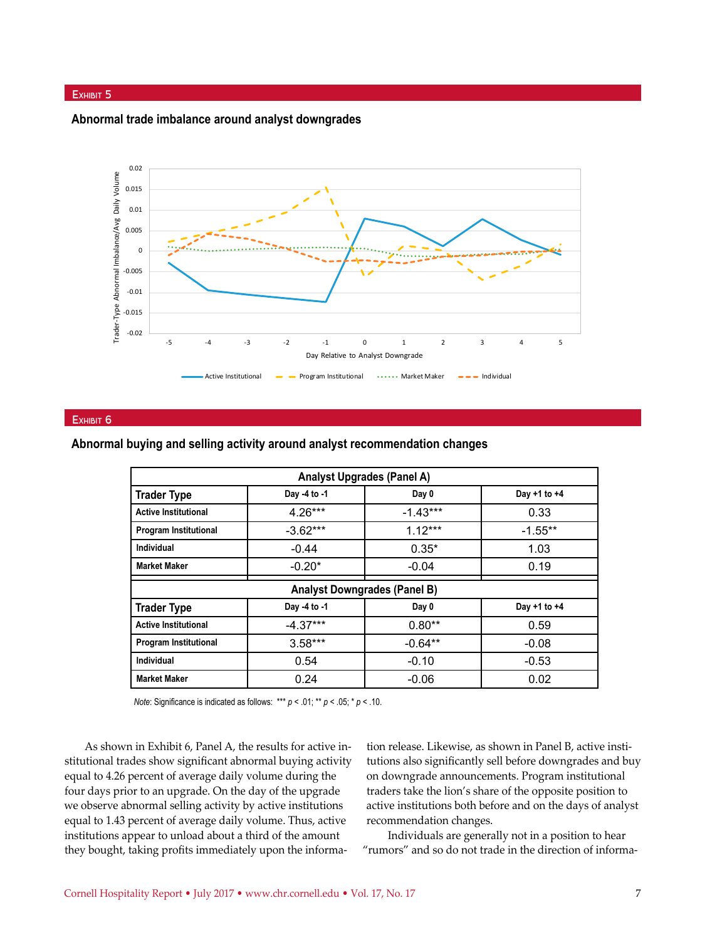#### EXHIBIT 5

**Abnormal trade imbalance around analyst downgrades**



#### EXHIBIT 6

**Abnormal buying and selling activity around analyst recommendation changes**

| <b>Analyst Upgrades (Panel A)</b>   |              |            |                  |  |
|-------------------------------------|--------------|------------|------------------|--|
| <b>Trader Type</b>                  | Day -4 to -1 | Day 0      | Day +1 to +4     |  |
| <b>Active Institutional</b>         | $4.26***$    | $-1.43***$ | 0.33             |  |
| <b>Program Institutional</b>        | $-3.62***$   | $1.12***$  | $-1.55***$       |  |
| Individual                          | $-0.44$      | $0.35*$    | 1.03             |  |
| <b>Market Maker</b>                 | $-0.20*$     | $-0.04$    | 0.19             |  |
| <b>Analyst Downgrades (Panel B)</b> |              |            |                  |  |
| <b>Trader Type</b>                  | Day -4 to -1 | Day 0      | Day $+1$ to $+4$ |  |
| <b>Active Institutional</b>         | $-4.37***$   | $0.80**$   | 0.59             |  |
| <b>Program Institutional</b>        | $3.58***$    | $-0.64**$  | $-0.08$          |  |
| Individual                          | 0.54         | $-0.10$    | $-0.53$          |  |
| <b>Market Maker</b>                 | 0.24         | $-0.06$    | 0.02             |  |

*Note*: Significance is indicated as follows: \*\*\* *p* < .01; \*\* *p* < .05; \* *p* < .10.

As shown in Exhibit 6, Panel A, the results for active institutional trades show significant abnormal buying activity equal to 4.26 percent of average daily volume during the four days prior to an upgrade. On the day of the upgrade we observe abnormal selling activity by active institutions equal to 1.43 percent of average daily volume. Thus, active institutions appear to unload about a third of the amount they bought, taking profits immediately upon the information release. Likewise, as shown in Panel B, active institutions also significantly sell before downgrades and buy on downgrade announcements. Program institutional traders take the lion's share of the opposite position to active institutions both before and on the days of analyst recommendation changes.

Individuals are generally not in a position to hear "rumors" and so do not trade in the direction of informa-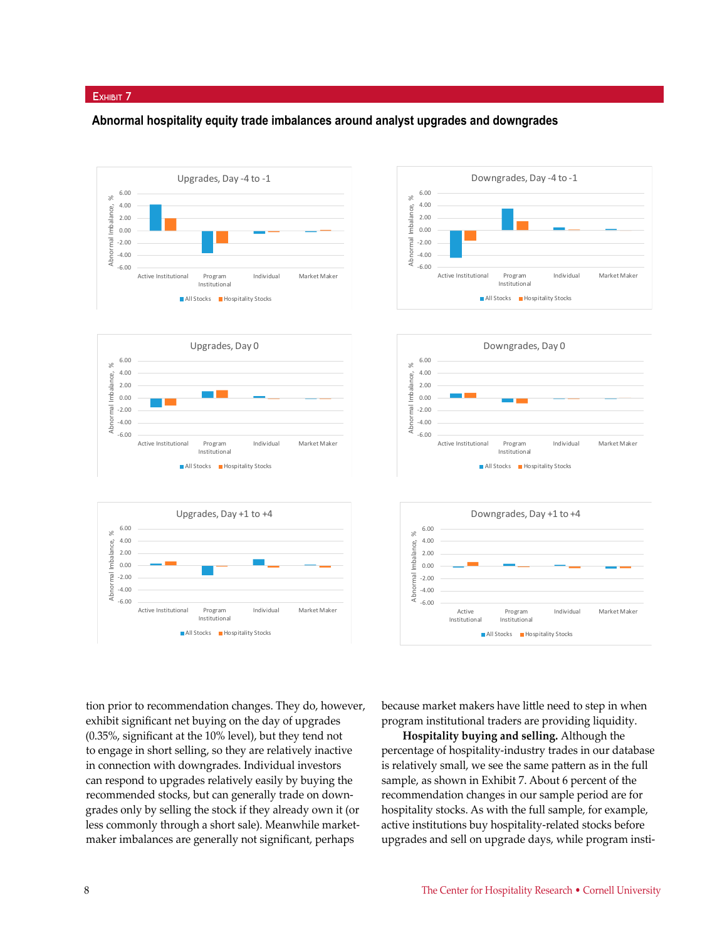#### EXHIBIT 7

#### **Abnormal hospitality equity trade imbalances around analyst upgrades and downgrades**













tion prior to recommendation changes. They do, however, exhibit significant net buying on the day of upgrades (0.35%, significant at the 10% level), but they tend not to engage in short selling, so they are relatively inactive in connection with downgrades. Individual investors can respond to upgrades relatively easily by buying the recommended stocks, but can generally trade on downgrades only by selling the stock if they already own it (or less commonly through a short sale). Meanwhile marketmaker imbalances are generally not significant, perhaps

because market makers have little need to step in when program institutional traders are providing liquidity.

**Hospitality buying and selling.** Although the percentage of hospitality-industry trades in our database is relatively small, we see the same pattern as in the full sample, as shown in Exhibit 7. About 6 percent of the recommendation changes in our sample period are for hospitality stocks. As with the full sample, for example, active institutions buy hospitality-related stocks before upgrades and sell on upgrade days, while program insti-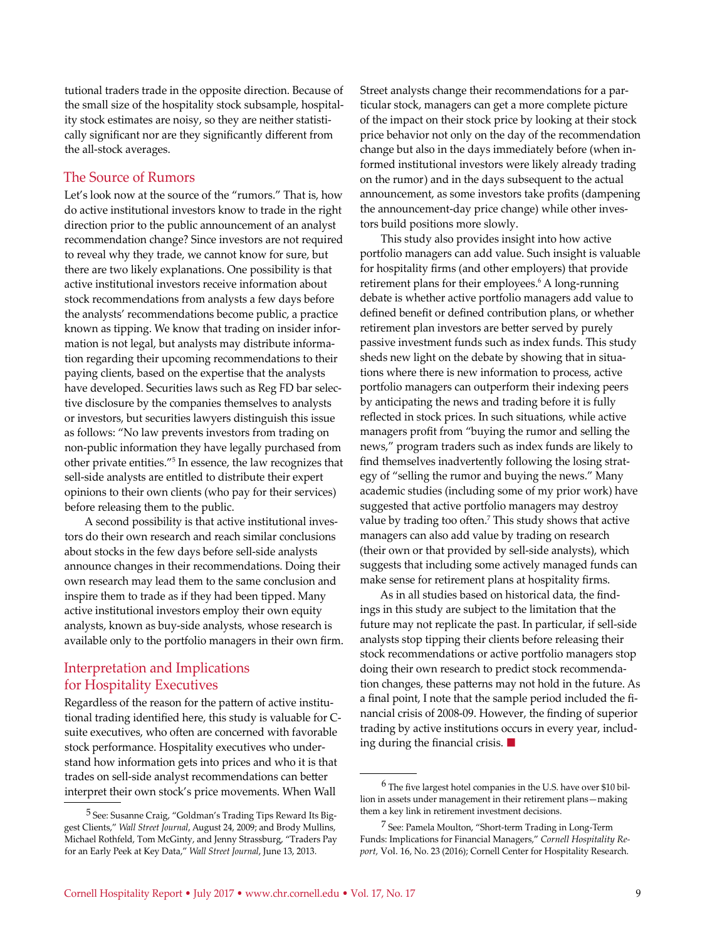tutional traders trade in the opposite direction. Because of the small size of the hospitality stock subsample, hospitality stock estimates are noisy, so they are neither statistically significant nor are they significantly different from the all-stock averages.

#### The Source of Rumors

Let's look now at the source of the "rumors." That is, how do active institutional investors know to trade in the right direction prior to the public announcement of an analyst recommendation change? Since investors are not required to reveal why they trade, we cannot know for sure, but there are two likely explanations. One possibility is that active institutional investors receive information about stock recommendations from analysts a few days before the analysts' recommendations become public, a practice known as tipping. We know that trading on insider information is not legal, but analysts may distribute information regarding their upcoming recommendations to their paying clients, based on the expertise that the analysts have developed. Securities laws such as Reg FD bar selective disclosure by the companies themselves to analysts or investors, but securities lawyers distinguish this issue as follows: "No law prevents investors from trading on non-public information they have legally purchased from other private entities."5 In essence, the law recognizes that sell-side analysts are entitled to distribute their expert opinions to their own clients (who pay for their services) before releasing them to the public.

A second possibility is that active institutional investors do their own research and reach similar conclusions about stocks in the few days before sell-side analysts announce changes in their recommendations. Doing their own research may lead them to the same conclusion and inspire them to trade as if they had been tipped. Many active institutional investors employ their own equity analysts, known as buy-side analysts, whose research is available only to the portfolio managers in their own firm.

#### Interpretation and Implications for Hospitality Executives

Regardless of the reason for the pattern of active institutional trading identified here, this study is valuable for Csuite executives, who often are concerned with favorable stock performance. Hospitality executives who understand how information gets into prices and who it is that trades on sell-side analyst recommendations can better interpret their own stock's price movements. When Wall

Street analysts change their recommendations for a particular stock, managers can get a more complete picture of the impact on their stock price by looking at their stock price behavior not only on the day of the recommendation change but also in the days immediately before (when informed institutional investors were likely already trading on the rumor) and in the days subsequent to the actual announcement, as some investors take profits (dampening the announcement-day price change) while other investors build positions more slowly.

This study also provides insight into how active portfolio managers can add value. Such insight is valuable for hospitality firms (and other employers) that provide retirement plans for their employees.<sup>6</sup> A long-running debate is whether active portfolio managers add value to defined benefit or defined contribution plans, or whether retirement plan investors are better served by purely passive investment funds such as index funds. This study sheds new light on the debate by showing that in situations where there is new information to process, active portfolio managers can outperform their indexing peers by anticipating the news and trading before it is fully reflected in stock prices. In such situations, while active managers profit from "buying the rumor and selling the news," program traders such as index funds are likely to find themselves inadvertently following the losing strategy of "selling the rumor and buying the news." Many academic studies (including some of my prior work) have suggested that active portfolio managers may destroy value by trading too often.7 This study shows that active managers can also add value by trading on research (their own or that provided by sell-side analysts), which suggests that including some actively managed funds can make sense for retirement plans at hospitality firms.

As in all studies based on historical data, the findings in this study are subject to the limitation that the future may not replicate the past. In particular, if sell-side analysts stop tipping their clients before releasing their stock recommendations or active portfolio managers stop doing their own research to predict stock recommendation changes, these patterns may not hold in the future. As a final point, I note that the sample period included the financial crisis of 2008-09. However, the finding of superior trading by active institutions occurs in every year, including during the financial crisis.  $\blacksquare$ 

<sup>5</sup> See: Susanne Craig, "Goldman's Trading Tips Reward Its Biggest Clients," *Wall Street Journal*, August 24, 2009; and Brody Mullins, Michael Rothfeld, Tom McGinty, and Jenny Strassburg, "Traders Pay for an Early Peek at Key Data," *Wall Street Journal*, June 13, 2013.

<sup>6</sup> The five largest hotel companies in the U.S. have over \$10 billion in assets under management in their retirement plans—making them a key link in retirement investment decisions.

<sup>7</sup> See: Pamela Moulton, "Short-term Trading in Long-Term Funds: Implications for Financial Managers," *Cornell Hospitality Report,* Vol. 16, No. 23 (2016); Cornell Center for Hospitality Research.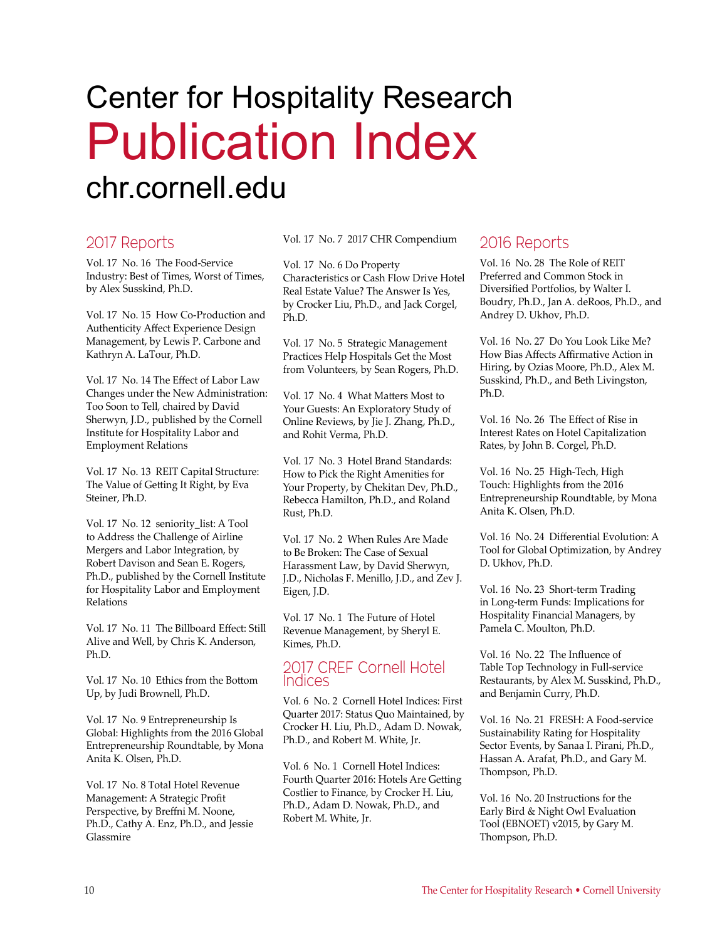## Center for Hospitality Research Publication Index chr.cornell.edu

### 2017 Reports

Vol. 17 No. 16 The Food-Service Industry: Best of Times, Worst of Times, by Alex Susskind, Ph.D.

Vol. 17 No. 15 How Co-Production and Authenticity Affect Experience Design Management, by Lewis P. Carbone and Kathryn A. LaTour, Ph.D.

Vol. 17 No. 14 The Effect of Labor Law Changes under the New Administration: Too Soon to Tell, chaired by David Sherwyn, J.D., published by the Cornell Institute for Hospitality Labor and Employment Relations

Vol. 17 No. 13 REIT Capital Structure: The Value of Getting It Right, by Eva Steiner, Ph.D.

Vol. 17 No. 12 seniority\_list: A Tool to Address the Challenge of Airline Mergers and Labor Integration, by Robert Davison and Sean E. Rogers, Ph.D., published by the Cornell Institute for Hospitality Labor and Employment Relations

Vol. 17 No. 11 The Billboard Effect: Still Alive and Well, by Chris K. Anderson, Ph.D.

Vol. 17 No. 10 Ethics from the Bottom Up, by Judi Brownell, Ph.D.

Vol. 17 No. 9 Entrepreneurship Is Global: Highlights from the 2016 Global Entrepreneurship Roundtable, by Mona Anita K. Olsen, Ph.D.

Vol. 17 No. 8 Total Hotel Revenue Management: A Strategic Profit Perspective, by Breffni M. Noone, Ph.D., Cathy A. Enz, Ph.D., and Jessie Glassmire

Vol. 17 No. 7 2017 CHR Compendium

Vol. 17 No. 6 Do Property Characteristics or Cash Flow Drive Hotel Real Estate Value? The Answer Is Yes, by Crocker Liu, Ph.D., and Jack Corgel, Ph.D.

Vol. 17 No. 5 Strategic Management Practices Help Hospitals Get the Most from Volunteers, by Sean Rogers, Ph.D.

Vol. 17 No. 4 What Matters Most to Your Guests: An Exploratory Study of Online Reviews, by Jie J. Zhang, Ph.D., and Rohit Verma, Ph.D.

Vol. 17 No. 3 Hotel Brand Standards: How to Pick the Right Amenities for Your Property, by Chekitan Dev, Ph.D., Rebecca Hamilton, Ph.D., and Roland Rust, Ph.D.

Vol. 17 No. 2 When Rules Are Made to Be Broken: The Case of Sexual Harassment Law, by David Sherwyn, J.D., Nicholas F. Menillo, J.D., and Zev J. Eigen, J.D.

Vol. 17 No. 1 The Future of Hotel Revenue Management, by Sheryl E. Kimes, Ph.D.

#### 2017 CREF Cornell Hotel Indices

Vol. 6 No. 2 Cornell Hotel Indices: First Quarter 2017: Status Quo Maintained, by Crocker H. Liu, Ph.D., Adam D. Nowak, Ph.D., and Robert M. White, Jr.

Vol. 6 No. 1 Cornell Hotel Indices: Fourth Quarter 2016: Hotels Are Getting Costlier to Finance, by Crocker H. Liu, Ph.D., Adam D. Nowak, Ph.D., and Robert M. White, Jr.

### 2016 Reports

Vol. 16 No. 28 The Role of REIT Preferred and Common Stock in Diversified Portfolios, by Walter I. Boudry, Ph.D., Jan A. deRoos, Ph.D., and Andrey D. Ukhov, Ph.D.

Vol. 16 No. 27 Do You Look Like Me? How Bias Affects Affirmative Action in Hiring, by Ozias Moore, Ph.D., Alex M. Susskind, Ph.D., and Beth Livingston, Ph.D.

Vol. 16 No. 26 The Effect of Rise in Interest Rates on Hotel Capitalization Rates, by John B. Corgel, Ph.D.

Vol. 16 No. 25 High-Tech, High Touch: Highlights from the 2016 Entrepreneurship Roundtable, by Mona Anita K. Olsen, Ph.D.

Vol. 16 No. 24 Differential Evolution: A Tool for Global Optimization, by Andrey D. Ukhov, Ph.D.

Vol. 16 No. 23 Short-term Trading in Long-term Funds: Implications for Hospitality Financial Managers, by Pamela C. Moulton, Ph.D.

Vol. 16 No. 22 The Influence of Table Top Technology in Full-service Restaurants, by Alex M. Susskind, Ph.D., and Benjamin Curry, Ph.D.

Vol. 16 No. 21 FRESH: A Food-service Sustainability Rating for Hospitality Sector Events, by Sanaa I. Pirani, Ph.D., Hassan A. Arafat, Ph.D., and Gary M. Thompson, Ph.D.

Vol. 16 No. 20 Instructions for the Early Bird & Night Owl Evaluation Tool (EBNOET) v2015, by Gary M. Thompson, Ph.D.